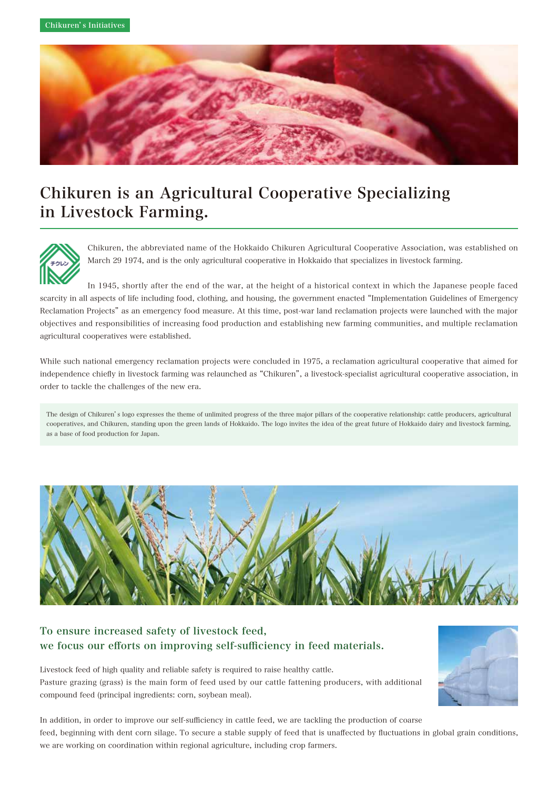

# Chikuren is an Agricultural Cooperative Specializing in Livestock Farming.



Chikuren, the abbreviated name of the Hokkaido Chikuren Agricultural Cooperative Association, was established on March 29 1974, and is the only agricultural cooperative in Hokkaido that specializes in livestock farming.

In 1945, shortly after the end of the war, at the height of a historical context in which the Japanese people faced scarcity in all aspects of life including food, clothing, and housing, the government enacted "Implementation Guidelines of Emergency Reclamation Projects" as an emergency food measure. At this time, post-war land reclamation projects were launched with the major objectives and responsibilities of increasing food production and establishing new farming communities, and multiple reclamation agricultural cooperatives were established.

While such national emergency reclamation projects were concluded in 1975, a reclamation agricultural cooperative that aimed for independence chiefly in livestock farming was relaunched as "Chikuren", a livestock-specialist agricultural cooperative association, in order to tackle the challenges of the new era.

The design of Chikuren's logo expresses the theme of unlimited progress of the three major pillars of the cooperative relationship: cattle producers, agricultural cooperatives, and Chikuren, standing upon the green lands of Hokkaido. The logo invites the idea of the great future of Hokkaido dairy and livestock farming, as a base of food production for Japan.



## To ensure increased safety of livestock feed, we focus our efforts on improving self-sufficiency in feed materials.

Livestock feed of high quality and reliable safety is required to raise healthy cattle. Pasture grazing (grass) is the main form of feed used by our cattle fattening producers, with additional compound feed (principal ingredients: corn, soybean meal).



In addition, in order to improve our self-sufficiency in cattle feed, we are tackling the production of coarse feed, beginning with dent corn silage. To secure a stable supply of feed that is unaffected by fluctuations in global grain conditions, we are working on coordination within regional agriculture, including crop farmers.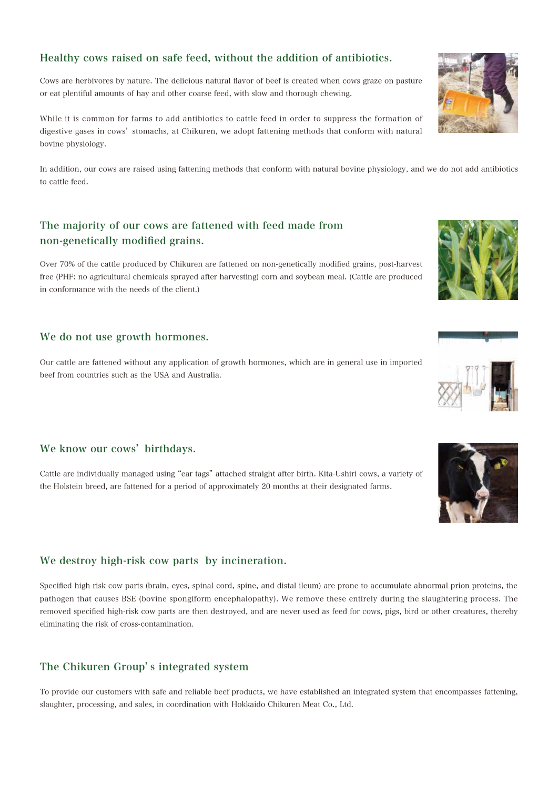#### Healthy cows raised on safe feed, without the addition of antibiotics.

Cows are herbivores by nature. The delicious natural flavor of beef is created when cows graze on pasture or eat plentiful amounts of hay and other coarse feed, with slow and thorough chewing.

While it is common for farms to add antibiotics to cattle feed in order to suppress the formation of digestive gases in cows' stomachs, at Chikuren, we adopt fattening methods that conform with natural bovine physiology.

In addition, our cows are raised using fattening methods that conform with natural bovine physiology, and we do not add antibiotics to cattle feed.

## The majority of our cows are fattened with feed made from non-genetically modified grains.

Over 70% of the cattle produced by Chikuren are fattened on non-genetically modified grains, post-harvest free (PHF: no agricultural chemicals sprayed after harvesting) corn and soybean meal. (Cattle are produced in conformance with the needs of the client.)

#### We do not use growth hormones.

Our cattle are fattened without any application of growth hormones, which are in general use in imported beef from countries such as the USA and Australia.

#### We know our cows' birthdays.

Cattle are individually managed using "ear tags" attached straight after birth. Kita-Ushiri cows, a variety of the Holstein breed, are fattened for a period of approximately 20 months at their designated farms.

## We destroy high-risk cow parts by incineration.

Specified high-risk cow parts (brain, eyes, spinal cord, spine, and distal ileum) are prone to accumulate abnormal prion proteins, the pathogen that causes BSE (bovine spongiform encephalopathy). We remove these entirely during the slaughtering process. The removed specified high-risk cow parts are then destroyed, and are never used as feed for cows, pigs, bird or other creatures, thereby eliminating the risk of cross-contamination.

## The Chikuren Group's integrated system

To provide our customers with safe and reliable beef products, we have established an integrated system that encompasses fattening, slaughter, processing, and sales, in coordination with Hokkaido Chikuren Meat Co., Ltd.